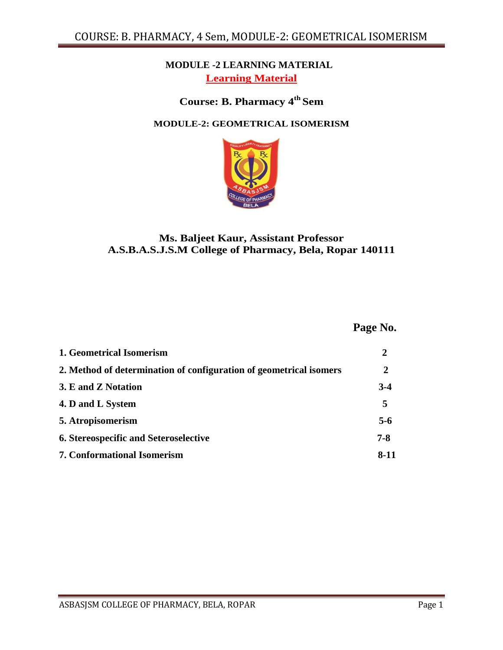## **MODULE -2 LEARNING MATERIAL Learning Material**

# **Course: B. Pharmacy 4th Sem**

#### **MODULE-2: GEOMETRICAL ISOMERISM**



## **Ms. Baljeet Kaur, Assistant Professor A.S.B.A.S.J.S.M College of Pharmacy, Bela, Ropar 140111**

 **Page No.**

| 1. Geometrical Isomerism                                           |          |
|--------------------------------------------------------------------|----------|
| 2. Method of determination of configuration of geometrical isomers | 2        |
| 3. E and Z Notation                                                | $3-4$    |
| 4. D and L System                                                  | 5        |
| 5. Atropisomerism                                                  | $5 - 6$  |
| <b>6. Stereospecific and Seteroselective</b>                       | 7-8      |
| <b>7. Conformational Isomerism</b>                                 | $8 - 11$ |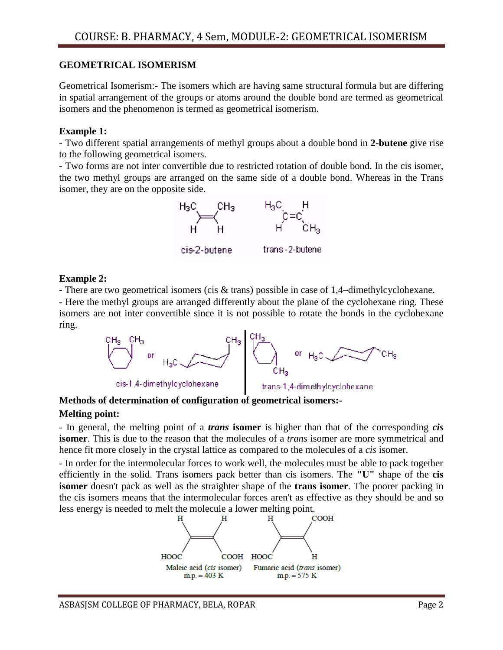### **GEOMETRICAL ISOMERISM**

Geometrical Isomerism:- The isomers which are having same structural formula but are differing in spatial arrangement of the groups or atoms around the double bond are termed as geometrical isomers and the phenomenon is termed as geometrical isomerism.

#### **Example 1:**

- Two different spatial arrangements of methyl groups about a double bond in **2-butene** give rise to the following geometrical isomers.

- Two forms are not inter convertible due to restricted rotation of double bond. In the cis isomer, the two methyl groups are arranged on the same side of a double bond. Whereas in the Trans isomer, they are on the opposite side.



#### **Example 2:**

- There are two geometrical isomers (cis & trans) possible in case of 1,4–dimethylcyclohexane.

- Here the methyl groups are arranged differently about the plane of the cyclohexane ring. These isomers are not inter convertible since it is not possible to rotate the bonds in the cyclohexane ring.



## **Methods of determination of configuration of geometrical isomers:-**

#### **Melting point:**

- In general, the melting point of a *trans* **isomer** is higher than that of the corresponding *cis*  **isomer**. This is due to the reason that the molecules of a *trans* isomer are more symmetrical and hence fit more closely in the crystal lattice as compared to the molecules of a *cis* isomer.

- In order for the intermolecular forces to work well, the molecules must be able to pack together efficiently in the solid. Trans isomers pack better than cis isomers. The **"U"** shape of the **cis isomer** doesn't pack as well as the straighter shape of the **trans isomer**. The poorer packing in the cis isomers means that the intermolecular forces aren't as effective as they should be and so less energy is needed to melt the molecule a lower melting point.

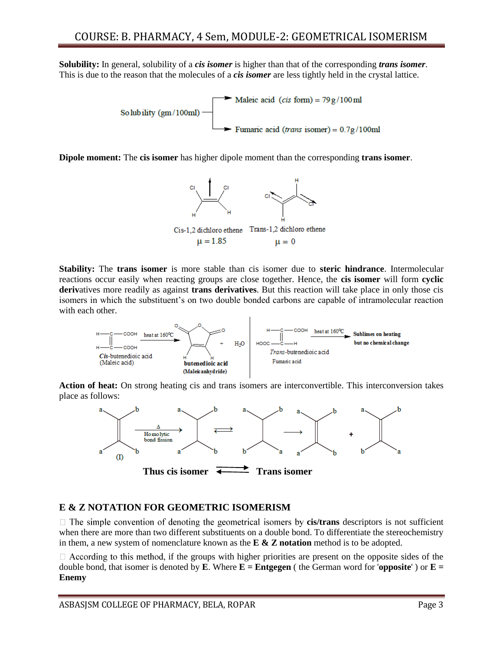**Solubility:** In general, solubility of a *cis isomer* is higher than that of the corresponding *trans isomer*. This is due to the reason that the molecules of a *cis isomer* are less tightly held in the crystal lattice.



**Dipole moment:** The **cis isomer** has higher dipole moment than the corresponding **trans isomer**.



**Stability:** The **trans isomer** is more stable than cis isomer due to **steric hindrance**. Intermolecular reactions occur easily when reacting groups are close together. Hence, the **cis isomer** will form **cyclic deriv**atives more readily as against **trans derivatives**. But this reaction will take place in only those cis isomers in which the substituent's on two double bonded carbons are capable of intramolecular reaction with each other.



**Action of heat:** On strong heating cis and trans isomers are interconvertible. This interconversion takes place as follows:



#### **E & Z NOTATION FOR GEOMETRIC ISOMERISM**

 $\Box$  The simple convention of denoting the geometrical isomers by **cis/trans** descriptors is not sufficient when there are more than two different substituents on a double bond. To differentiate the stereochemistry in them, a new system of nomenclature known as the **E & Z notation** method is to be adopted.

 $\Box$  According to this method, if the groups with higher priorities are present on the opposite sides of the double bond, that isomer is denoted by **E**. Where  $\mathbf{E} =$  **Entgegen** ( the German word for '**opposite**') or  $\mathbf{E} =$ **Enemy**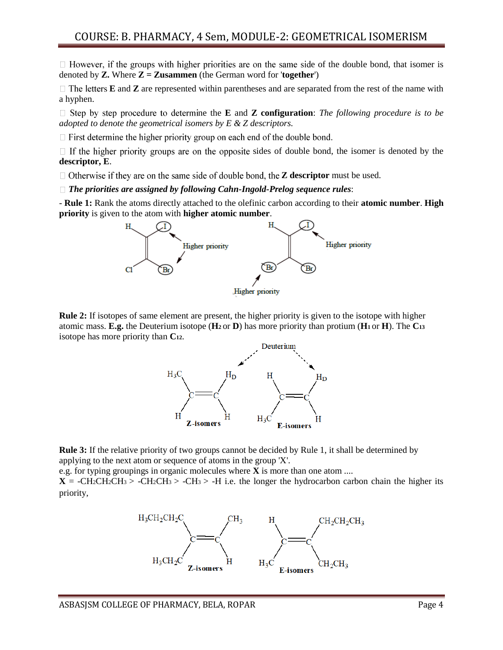## COURSE: B. PHARMACY, 4 Sem, MODULE-2: GEOMETRICAL ISOMERISM

 $\Box$  However, if the groups with higher priorities are on the same side of the double bond, that isomer is denoted by **Z.** Where  $\mathbf{Z} = \mathbf{Z}$ **usammen** (the German word for '**together**')

 $\Box$  The letters **E** and **Z** are represented within parentheses and are separated from the rest of the name with a hyphen.

 $\Box$  Step by step procedure to determine the **E** and **Z configuration**: *The following procedure is to be adopted to denote the geometrical isomers by E & Z descriptors.* 

 $\Box$  First determine the higher priority group on each end of the double bond.

 $\Box$  If the higher priority groups are on the opposite sides of double bond, the isomer is denoted by the **descriptor, E**.

□ Otherwise if they are on the same side of double bond, the **Z descriptor** must be used.

*The priorities are assigned by following Cahn-Ingold-Prelog sequence rules*:

- **Rule 1:** Rank the atoms directly attached to the olefinic carbon according to their **atomic number**. **High priority** is given to the atom with **higher atomic number**.



**Rule 2:** If isotopes of same element are present, the higher priority is given to the isotope with higher atomic mass. **E.g.** the Deuterium isotope (**H2** or **D**) has more priority than protium (**H1** or **H**). The **C<sup>13</sup>** isotope has more priority than **C12**.



**Rule 3:** If the relative priority of two groups cannot be decided by Rule 1, it shall be determined by applying to the next atom or sequence of atoms in the group 'X'.

e.g. for typing groupings in organic molecules where **X** is more than one atom ....

 $X = -CH_2CH_2CH_3 > -CH_2CH_3 > -CH_3 > -H$  i.e. the longer the hydrocarbon carbon chain the higher its priority,

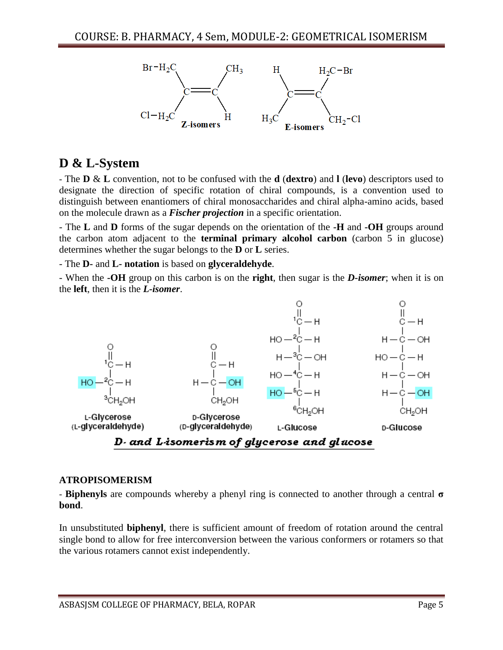

# **D & L-System**

- The **D** & **L** convention, not to be confused with the **d** (**dextro**) and **l** (**levo**) descriptors used to designate the direction of specific rotation of chiral compounds, is a convention used to distinguish between enantiomers of chiral monosaccharides and chiral alpha-amino acids, based on the molecule drawn as a *Fischer projection* in a specific orientation.

- The **L** and **D** forms of the sugar depends on the orientation of the **-H** and **-OH** groups around the carbon atom adjacent to the **terminal primary alcohol carbon** (carbon 5 in glucose) determines whether the sugar belongs to the **D** or **L** series.

- The **D-** and **L- notation** is based on **glyceraldehyde**.

- When the **-OH** group on this carbon is on the **right**, then sugar is the *D-isomer*; when it is on the **left**, then it is the *L-isomer*.



#### **ATROPISOMERISM**

- **Biphenyls** are compounds whereby a phenyl ring is connected to another through a central **σ bond**.

In unsubstituted **biphenyl**, there is sufficient amount of freedom of rotation around the central single bond to allow for free interconversion between the various conformers or rotamers so that the various rotamers cannot exist independently.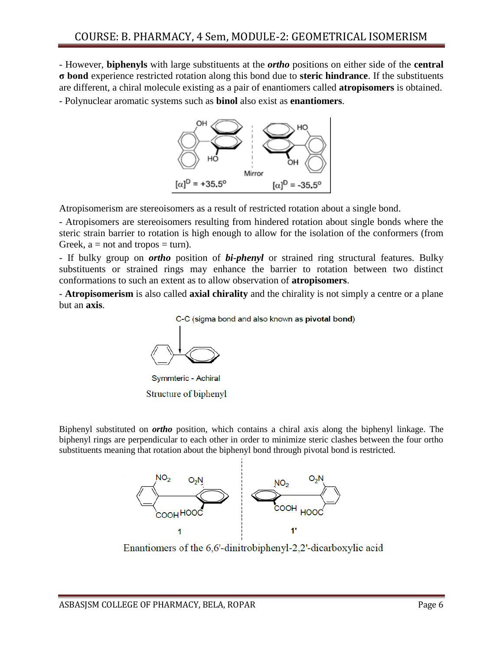- However, **biphenyls** with large substituents at the *ortho* positions on either side of the **central σ bond** experience restricted rotation along this bond due to **steric hindrance**. If the substituents are different, a chiral molecule existing as a pair of enantiomers called **atropisomers** is obtained.

- Polynuclear aromatic systems such as **binol** also exist as **enantiomers**.



Atropisomerism are stereoisomers as a result of restricted rotation about a single bond.

- Atropisomers are stereoisomers resulting from hindered rotation about single bonds where the steric strain barrier to rotation is high enough to allow for the isolation of the conformers (from Greek,  $a = not$  and tropos  $= turn$ ).

- If bulky group on *ortho* position of *bi-phenyl* or strained ring structural features. Bulky substituents or strained rings may enhance the barrier to rotation between two distinct conformations to such an extent as to allow observation of **atropisomers**.

- **Atropisomerism** is also called **axial chirality** and the chirality is not simply a centre or a plane but an **axis**.

C-C (sigma bond and also known as pivotal bond)



Symmteric - Achiral Structure of biphenyl

Biphenyl substituted on *ortho* position, which contains a chiral axis along the biphenyl linkage. The biphenyl rings are perpendicular to each other in order to minimize steric clashes between the four ortho substituents meaning that rotation about the biphenyl bond through pivotal bond is restricted.



Enantiomers of the 6.6'-dinitrobiphenyl-2.2'-dicarboxylic acid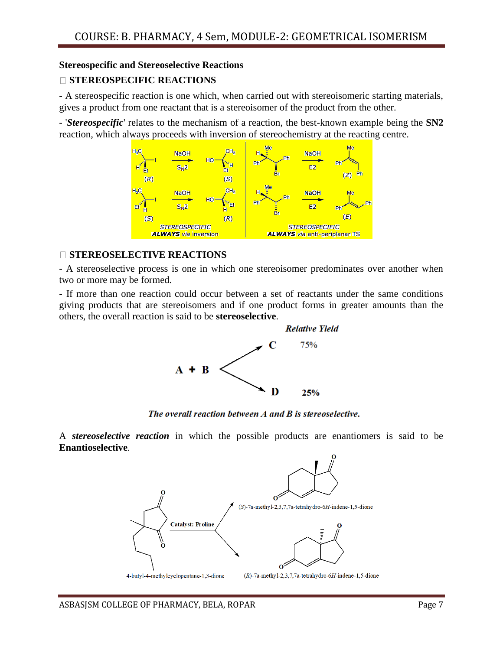#### **Stereospecific and Stereoselective Reactions**

## **STEREOSPECIFIC REACTIONS**

- A stereospecific reaction is one which, when carried out with stereoisomeric starting materials, gives a product from one reactant that is a stereoisomer of the product from the other.

- '*Stereospecific*' relates to the mechanism of a reaction, the best-known example being the **SN2**  reaction, which always proceeds with inversion of stereochemistry at the reacting centre.



#### **STEREOSELECTIVE REACTIONS**

- A stereoselective process is one in which one stereoisomer predominates over another when two or more may be formed.

- If more than one reaction could occur between a set of reactants under the same conditions giving products that are stereoisomers and if one product forms in greater amounts than the others, the overall reaction is said to be **stereoselective**.



The overall reaction between A and B is stereoselective.

A *stereoselective reaction* in which the possible products are enantiomers is said to be **Enantioselective**.

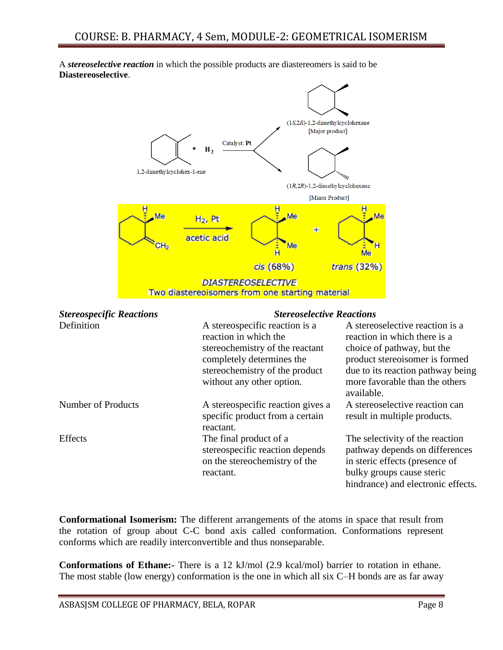A *stereoselective reaction* in which the possible products are diastereomers is said to be **Diastereoselective**.



| <b>Stereospecific Reactions</b> | <b>Stereoselective Reactions</b>                                                                                                                                                       |                                                                                                                                                                                                                      |  |
|---------------------------------|----------------------------------------------------------------------------------------------------------------------------------------------------------------------------------------|----------------------------------------------------------------------------------------------------------------------------------------------------------------------------------------------------------------------|--|
| Definition                      | A stereospecific reaction is a<br>reaction in which the<br>stereochemistry of the reactant<br>completely determines the<br>stereochemistry of the product<br>without any other option. | A stereoselective reaction is a<br>reaction in which there is a<br>choice of pathway, but the<br>product stereoisomer is formed<br>due to its reaction pathway being<br>more favorable than the others<br>available. |  |
| Number of Products              | A stereospecific reaction gives a<br>specific product from a certain<br>reactant.                                                                                                      | A stereoselective reaction can<br>result in multiple products.                                                                                                                                                       |  |
| <b>Effects</b>                  | The final product of a<br>stereospecific reaction depends<br>on the stereochemistry of the<br>reactant.                                                                                | The selectivity of the reaction<br>pathway depends on differences<br>in steric effects (presence of<br>bulky groups cause steric<br>hindrance) and electronic effects.                                               |  |

**Conformational Isomerism:** The different arrangements of the atoms in space that result from the rotation of group about C-C bond axis called conformation. Conformations represent conforms which are readily interconvertible and thus nonseparable.

**Conformations of Ethane:-** There is a 12 kJ/mol (2.9 kcal/mol) barrier to rotation in ethane. The most stable (low energy) conformation is the one in which all six C–H bonds are as far away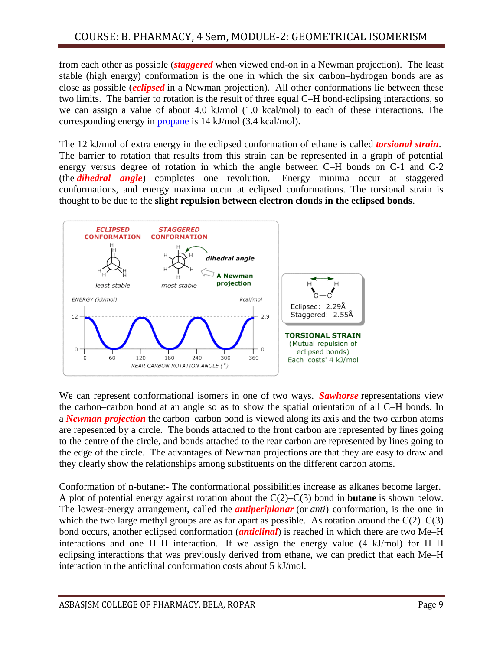from each other as possible (*staggered* when viewed end-on in a Newman projection). The least stable (high energy) conformation is the one in which the six carbon–hydrogen bonds are as close as possible (*eclipsed* in a Newman projection). All other conformations lie between these two limits. The barrier to rotation is the result of three equal C–H bond-eclipsing interactions, so we can assign a value of about 4.0 kJ/mol (1.0 kcal/mol) to each of these interactions. The corresponding energy in [propane](https://personalpages.manchester.ac.uk/staff/T.Wallace/20412tw2/anim_propane.html) is 14 kJ/mol (3.4 kcal/mol).

The 12 kJ/mol of extra energy in the eclipsed conformation of ethane is called *torsional strain*. The barrier to rotation that results from this strain can be represented in a graph of potential energy versus degree of rotation in which the angle between C–H bonds on C-1 and C-2 (the *dihedral angle*) completes one revolution. Energy minima occur at staggered conformations, and energy maxima occur at eclipsed conformations. The torsional strain is thought to be due to the **slight repulsion between electron clouds in the eclipsed bonds**.



We can represent conformational isomers in one of two ways. *Sawhorse* representations view the carbon–carbon bond at an angle so as to show the spatial orientation of all C–H bonds. In a *Newman projection* the carbon–carbon bond is viewed along its axis and the two carbon atoms are repesented by a circle. The bonds attached to the front carbon are represented by lines going to the centre of the circle, and bonds attached to the rear carbon are represented by lines going to the edge of the circle. The advantages of Newman projections are that they are easy to draw and they clearly show the relationships among substituents on the different carbon atoms.

Conformation of n-butane:- The conformational possibilities increase as alkanes become larger. A plot of potential energy against rotation about the C(2)–C(3) bond in **butane** is shown below. The lowest-energy arrangement, called the *antiperiplanar* (or *anti*) conformation, is the one in which the two large methyl groups are as far apart as possible. As rotation around the  $C(2)$ – $C(3)$ bond occurs, another eclipsed conformation (*anticlinal*) is reached in which there are two Me–H interactions and one H–H interaction. If we assign the energy value (4 kJ/mol) for H–H eclipsing interactions that was previously derived from ethane, we can predict that each Me–H interaction in the anticlinal conformation costs about 5 kJ/mol.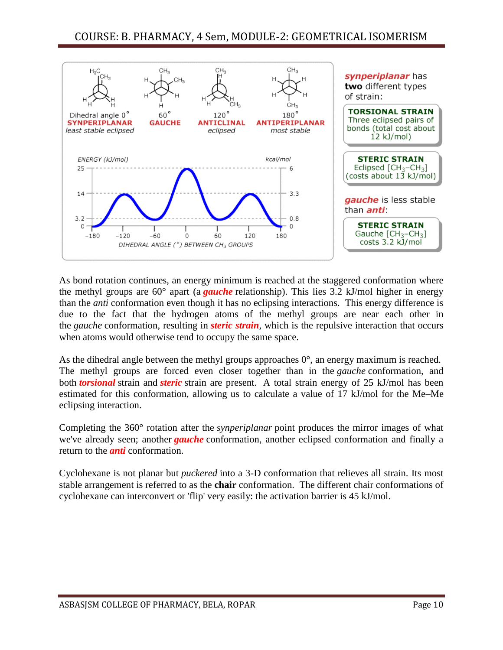

As bond rotation continues, an energy minimum is reached at the staggered conformation where the methyl groups are 60° apart (a *gauche* relationship). This lies 3.2 kJ/mol higher in energy than the *anti* conformation even though it has no eclipsing interactions. This energy difference is due to the fact that the hydrogen atoms of the methyl groups are near each other in the *gauche* conformation, resulting in *steric strain*, which is the repulsive interaction that occurs when atoms would otherwise tend to occupy the same space.

As the dihedral angle between the methyl groups approaches  $0^{\circ}$ , an energy maximum is reached. The methyl groups are forced even closer together than in the *gauche* conformation, and both *torsional* strain and *steric* strain are present. A total strain energy of 25 kJ/mol has been estimated for this conformation, allowing us to calculate a value of 17 kJ/mol for the Me–Me eclipsing interaction.

Completing the 360° rotation after the *synperiplanar* point produces the mirror images of what we've already seen; another *gauche* conformation, another eclipsed conformation and finally a return to the *anti* conformation.

Cyclohexane is not planar but *puckered* into a 3-D conformation that relieves all strain. Its most stable arrangement is referred to as the **chair** conformation. The different chair conformations of cyclohexane can interconvert or 'flip' very easily: the activation barrier is 45 kJ/mol.